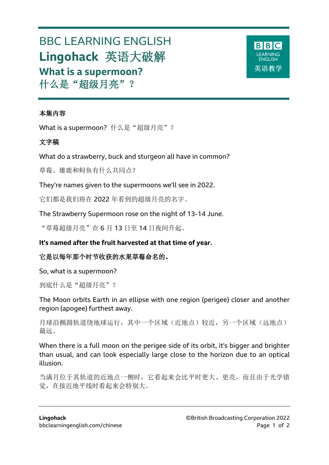# BBC LEARNING ENGLISH **Lingohack** 英语大破解 **What is a supermoon?** 什么是"超级月亮"?



### 本集内容

What is a supermoon? 什么是"超级月亮"?

### 文字稿

What do a strawberry, buck and sturgeon all have in common?

草莓、雄鹿和鲟鱼有什么共同点?

They're names given to the supermoons we'll see in 2022.

它们都是我们将在 2022 年看到的超级月亮的名字。

The Strawberry Supermoon rose on the night of 13-14 June.

"草莓超级月亮"在 6 月 13 日至 14 日夜间升起。

# **It's named after the fruit harvested at that time of year.**

# 它是以每年那个时节收获的水果草莓命名的。

So, what is a supermoon?

到底什么是"超级月亮"?

The Moon orbits Earth in an ellipse with one region (perigee) closer and another region (apogee) furthest away.

月球沿椭圆轨道绕地球运行,其中一个区域(近地点)较近,另一个区域(远地点) 最远。

When there is a full moon on the perigee side of its orbit, it's bigger and brighter than usual, and can look especially large close to the horizon due to an optical illusion.

当满月位于其轨道的近地点一侧时,它看起来会比平时更大、更亮,而且由于光学错 觉,在接近地平线时看起来会特别大。